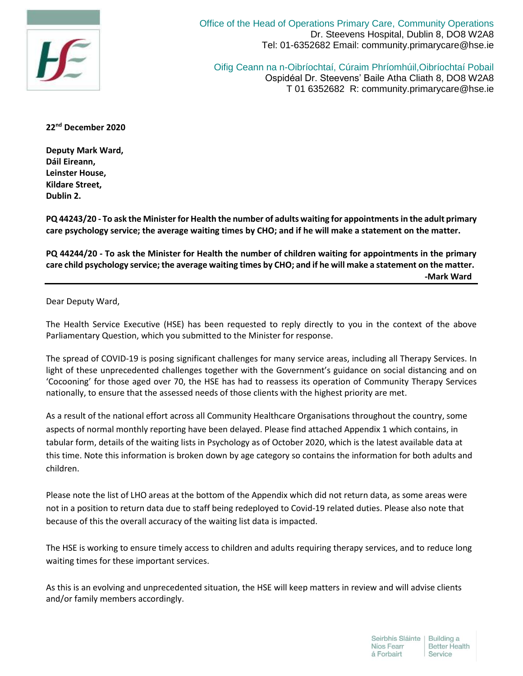

Office of the Head of Operations Primary Care, Community Operations Dr. Steevens Hospital, Dublin 8, DO8 W2A8 Tel: 01-6352682 Email: community.primarycare@hse.ie

Oifig Ceann na n-Oibríochtaí, Cúraim Phríomhúil,Oibríochtaí Pobail Ospidéal Dr. Steevens' Baile Atha Cliath 8, DO8 W2A8 T 01 6352682 R: community.primarycare@hse.ie

**22nd December 2020**

**Deputy Mark Ward, Dáil Eireann, Leinster House, Kildare Street, Dublin 2.**

**PQ 44243/20 - To ask the Minister for Health the number of adults waiting for appointmentsin the adult primary care psychology service; the average waiting times by CHO; and if he will make a statement on the matter.**

**PQ 44244/20 - To ask the Minister for Health the number of children waiting for appointments in the primary care child psychology service; the average waiting times by CHO; and if he will make a statement on the matter. -Mark Ward**

Dear Deputy Ward,

The Health Service Executive (HSE) has been requested to reply directly to you in the context of the above Parliamentary Question, which you submitted to the Minister for response.

The spread of COVID-19 is posing significant challenges for many service areas, including all Therapy Services. In light of these unprecedented challenges together with the Government's guidance on social distancing and on 'Cocooning' for those aged over 70, the HSE has had to reassess its operation of Community Therapy Services nationally, to ensure that the assessed needs of those clients with the highest priority are met.

As a result of the national effort across all Community Healthcare Organisations throughout the country, some aspects of normal monthly reporting have been delayed. Please find attached Appendix 1 which contains, in tabular form, details of the waiting lists in Psychology as of October 2020, which is the latest available data at this time. Note this information is broken down by age category so contains the information for both adults and children.

Please note the list of LHO areas at the bottom of the Appendix which did not return data, as some areas were not in a position to return data due to staff being redeployed to Covid-19 related duties. Please also note that because of this the overall accuracy of the waiting list data is impacted.

The HSE is working to ensure timely access to children and adults requiring therapy services, and to reduce long waiting times for these important services.

As this is an evolving and unprecedented situation, the HSE will keep matters in review and will advise clients and/or family members accordingly.